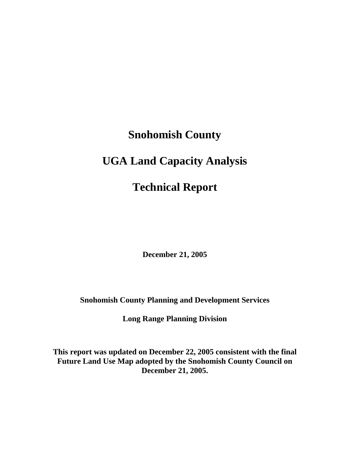# **Snohomish County UGA Land Capacity Analysis Technical Report**

**December 21, 2005** 

**Snohomish County Planning and Development Services** 

**Long Range Planning Division** 

**This report was updated on December 22, 2005 consistent with the final Future Land Use Map adopted by the Snohomish County Council on December 21, 2005.**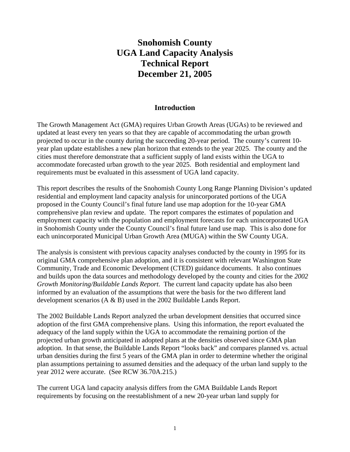# **Snohomish County UGA Land Capacity Analysis Technical Report December 21, 2005**

#### **Introduction**

The Growth Management Act (GMA) requires Urban Growth Areas (UGAs) to be reviewed and updated at least every ten years so that they are capable of accommodating the urban growth projected to occur in the county during the succeeding 20-year period. The county's current 10 year plan update establishes a new plan horizon that extends to the year 2025. The county and the cities must therefore demonstrate that a sufficient supply of land exists within the UGA to accommodate forecasted urban growth to the year 2025. Both residential and employment land requirements must be evaluated in this assessment of UGA land capacity.

This report describes the results of the Snohomish County Long Range Planning Division's updated residential and employment land capacity analysis for unincorporated portions of the UGA proposed in the County Council's final future land use map adoption for the 10-year GMA comprehensive plan review and update. The report compares the estimates of population and employment capacity with the population and employment forecasts for each unincorporated UGA in Snohomish County under the County Council's final future land use map. This is also done for each unincorporated Municipal Urban Growth Area (MUGA) within the SW County UGA.

The analysis is consistent with previous capacity analyses conducted by the county in 1995 for its original GMA comprehensive plan adoption, and it is consistent with relevant Washington State Community, Trade and Economic Development (CTED) guidance documents. It also continues and builds upon the data sources and methodology developed by the county and cities for the *2002 Growth Monitoring/Buildable Lands Report*. The current land capacity update has also been informed by an evaluation of the assumptions that were the basis for the two different land development scenarios (A & B) used in the 2002 Buildable Lands Report.

The 2002 Buildable Lands Report analyzed the urban development densities that occurred since adoption of the first GMA comprehensive plans. Using this information, the report evaluated the adequacy of the land supply within the UGA to accommodate the remaining portion of the projected urban growth anticipated in adopted plans at the densities observed since GMA plan adoption. In that sense, the Buildable Lands Report "looks back" and compares planned vs. actual urban densities during the first 5 years of the GMA plan in order to determine whether the original plan assumptions pertaining to assumed densities and the adequacy of the urban land supply to the year 2012 were accurate. (See RCW 36.70A.215.)

The current UGA land capacity analysis differs from the GMA Buildable Lands Report requirements by focusing on the reestablishment of a new 20-year urban land supply for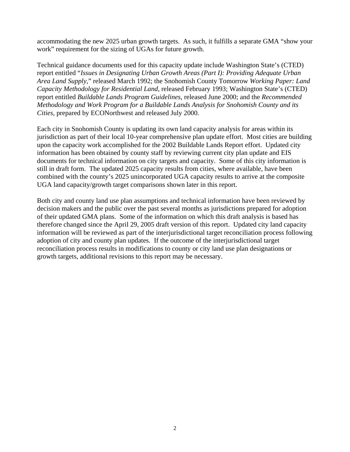accommodating the new 2025 urban growth targets. As such, it fulfills a separate GMA "show your work" requirement for the sizing of UGAs for future growth.

Technical guidance documents used for this capacity update include Washington State's (CTED) report entitled "*Issues in Designating Urban Growth Areas (Part I): Providing Adequate Urban Area Land Supply*," released March 1992; the Snohomish County Tomorrow *Working Paper: Land Capacity Methodology for Residential Land*, released February 1993; Washington State's (CTED) report entitled *Buildable Lands Program Guidelines*, released June 2000; and the *Recommended Methodology and Work Program for a Buildable Lands Analysis for Snohomish County and its Cities*, prepared by ECONorthwest and released July 2000.

Each city in Snohomish County is updating its own land capacity analysis for areas within its jurisdiction as part of their local 10-year comprehensive plan update effort. Most cities are building upon the capacity work accomplished for the 2002 Buildable Lands Report effort. Updated city information has been obtained by county staff by reviewing current city plan update and EIS documents for technical information on city targets and capacity. Some of this city information is still in draft form. The updated 2025 capacity results from cities, where available, have been combined with the county's 2025 unincorporated UGA capacity results to arrive at the composite UGA land capacity/growth target comparisons shown later in this report.

Both city and county land use plan assumptions and technical information have been reviewed by decision makers and the public over the past several months as jurisdictions prepared for adoption of their updated GMA plans. Some of the information on which this draft analysis is based has therefore changed since the April 29, 2005 draft version of this report. Updated city land capacity information will be reviewed as part of the interjurisdictional target reconciliation process following adoption of city and county plan updates. If the outcome of the interjurisdictional target reconciliation process results in modifications to county or city land use plan designations or growth targets, additional revisions to this report may be necessary.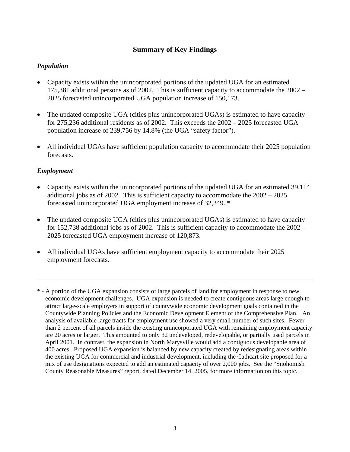#### **Summary of Key Findings**

#### *Population*

- Capacity exists within the unincorporated portions of the updated UGA for an estimated 175,381 additional persons as of 2002. This is sufficient capacity to accommodate the 2002 – 2025 forecasted unincorporated UGA population increase of 150,173.
- The updated composite UGA (cities plus unincorporated UGAs) is estimated to have capacity for 275,236 additional residents as of 2002. This exceeds the 2002 – 2025 forecasted UGA population increase of 239,756 by 14.8% (the UGA "safety factor").
- All individual UGAs have sufficient population capacity to accommodate their 2025 population forecasts.

#### *Employment*

- Capacity exists within the unincorporated portions of the updated UGA for an estimated 39,114 additional jobs as of 2002. This is sufficient capacity to accommodate the 2002 – 2025 forecasted unincorporated UGA employment increase of 32,249. \*
- The updated composite UGA (cities plus unincorporated UGAs) is estimated to have capacity for 152,738 additional jobs as of 2002. This is sufficient capacity to accommodate the 2002 – 2025 forecasted UGA employment increase of 120,873.
- All individual UGAs have sufficient employment capacity to accommodate their 2025 employment forecasts.
- \* A portion of the UGA expansion consists of large parcels of land for employment in response to new economic development challenges. UGA expansion is needed to create contiguous areas large enough to attract large-scale employers in support of countywide economic development goals contained in the Countywide Planning Policies and the Economic Development Element of the Comprehensive Plan. An analysis of available large tracts for employment use showed a very small number of such sites. Fewer than 2 percent of all parcels inside the existing unincorporated UGA with remaining employment capacity are 20 acres or larger. This amounted to only 32 undeveloped, redevelopable, or partially used parcels in April 2001. In contrast, the expansion in North Marysville would add a contiguous developable area of 400 acres. Proposed UGA expansion is balanced by new capacity created by redesignating areas within the existing UGA for commercial and industrial development, including the Cathcart site proposed for a mix of use designations expected to add an estimated capacity of over 2,000 jobs. See the "Snohomish County Reasonable Measures" report, dated December 14, 2005, for more information on this topic.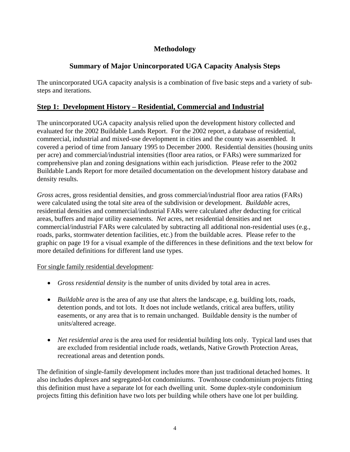# **Methodology**

# **Summary of Major Unincorporated UGA Capacity Analysis Steps**

The unincorporated UGA capacity analysis is a combination of five basic steps and a variety of substeps and iterations.

# **Step 1: Development History – Residential, Commercial and Industrial**

The unincorporated UGA capacity analysis relied upon the development history collected and evaluated for the 2002 Buildable Lands Report. For the 2002 report, a database of residential, commercial, industrial and mixed-use development in cities and the county was assembled. It covered a period of time from January 1995 to December 2000. Residential densities (housing units per acre) and commercial/industrial intensities (floor area ratios, or FARs) were summarized for comprehensive plan and zoning designations within each jurisdiction. Please refer to the 2002 Buildable Lands Report for more detailed documentation on the development history database and density results.

*Gross* acres, gross residential densities, and gross commercial/industrial floor area ratios (FARs) were calculated using the total site area of the subdivision or development. *Buildable* acres, residential densities and commercial/industrial FARs were calculated after deducting for critical areas, buffers and major utility easements. *Net* acres, net residential densities and net commercial/industrial FARs were calculated by subtracting all additional non-residential uses (e.g., roads, parks, stormwater detention facilities, etc.) from the buildable acres. Please refer to the graphic on page 19 for a visual example of the differences in these definitions and the text below for more detailed definitions for different land use types.

#### For single family residential development:

- *Gross residential density* is the number of units divided by total area in acres.
- *Buildable area* is the area of any use that alters the landscape, e.g. building lots, roads, detention ponds, and tot lots. It does not include wetlands, critical area buffers, utility easements, or any area that is to remain unchanged. Buildable density is the number of units/altered acreage.
- *Net residential area* is the area used for residential building lots only. Typical land uses that are excluded from residential include roads, wetlands, Native Growth Protection Areas, recreational areas and detention ponds.

The definition of single-family development includes more than just traditional detached homes. It also includes duplexes and segregated-lot condominiums. Townhouse condominium projects fitting this definition must have a separate lot for each dwelling unit. Some duplex-style condominium projects fitting this definition have two lots per building while others have one lot per building.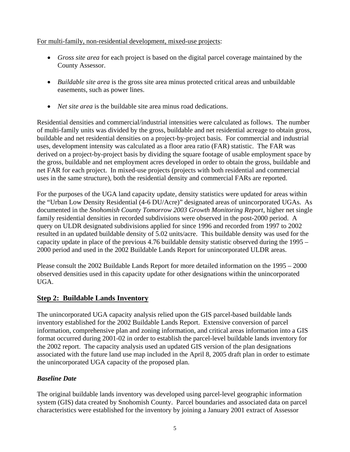#### For multi-family, non-residential development, mixed-use projects:

- *Gross site area* for each project is based on the digital parcel coverage maintained by the County Assessor.
- *Buildable site area* is the gross site area minus protected critical areas and unbuildable easements, such as power lines.
- *Net site area* is the buildable site area minus road dedications.

Residential densities and commercial/industrial intensities were calculated as follows. The number of multi-family units was divided by the gross, buildable and net residential acreage to obtain gross, buildable and net residential densities on a project-by-project basis. For commercial and industrial uses, development intensity was calculated as a floor area ratio (FAR) statistic. The FAR was derived on a project-by-project basis by dividing the square footage of usable employment space by the gross, buildable and net employment acres developed in order to obtain the gross, buildable and net FAR for each project. In mixed-use projects (projects with both residential and commercial uses in the same structure), both the residential density and commercial FARs are reported.

For the purposes of the UGA land capacity update, density statistics were updated for areas within the "Urban Low Density Residential (4-6 DU/Acre)" designated areas of unincorporated UGAs. As documented in the *Snohomish County Tomorrow 2003 Growth Monitoring Report*, higher net single family residential densities in recorded subdivisions were observed in the post-2000 period. A query on ULDR designated subdivisions applied for since 1996 and recorded from 1997 to 2002 resulted in an updated buildable density of 5.02 units/acre. This buildable density was used for the capacity update in place of the previous 4.76 buildable density statistic observed during the 1995 – 2000 period and used in the 2002 Buildable Lands Report for unincorporated ULDR areas.

Please consult the 2002 Buildable Lands Report for more detailed information on the 1995 – 2000 observed densities used in this capacity update for other designations within the unincorporated UGA.

# **Step 2: Buildable Lands Inventory**

The unincorporated UGA capacity analysis relied upon the GIS parcel-based buildable lands inventory established for the 2002 Buildable Lands Report. Extensive conversion of parcel information, comprehensive plan and zoning information, and critical areas information into a GIS format occurred during 2001-02 in order to establish the parcel-level buildable lands inventory for the 2002 report. The capacity analysis used an updated GIS version of the plan designations associated with the future land use map included in the April 8, 2005 draft plan in order to estimate the unincorporated UGA capacity of the proposed plan.

#### *Baseline Date*

The original buildable lands inventory was developed using parcel-level geographic information system (GIS) data created by Snohomish County. Parcel boundaries and associated data on parcel characteristics were established for the inventory by joining a January 2001 extract of Assessor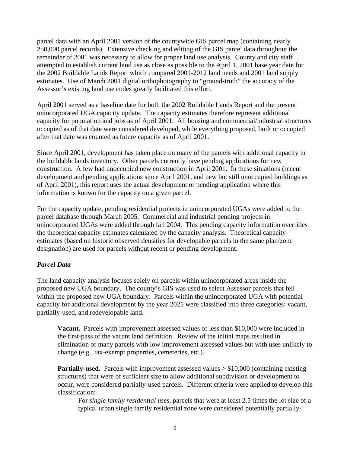parcel data with an April 2001 version of the countywide GIS parcel map (containing nearly 250,000 parcel records). Extensive checking and editing of the GIS parcel data throughout the remainder of 2001 was necessary to allow for proper land use analysis. County and city staff attempted to establish current land use as close as possible to the April 1, 2001 base year date for the 2002 Buildable Lands Report which compared 2001-2012 land needs and 2001 land supply estimates. Use of March 2001 digital orthophotography to "ground-truth" the accuracy of the Assessor's existing land use codes greatly facilitated this effort.

April 2001 served as a baseline date for both the 2002 Buildable Lands Report and the present unincorporated UGA capacity update. The capacity estimates therefore represent additional capacity for population and jobs as of April 2001. All housing and commercial/industrial structures occupied as of that date were considered developed, while everything proposed, built or occupied after that date was counted as future capacity as of April 2001.

Since April 2001, development has taken place on many of the parcels with additional capacity in the buildable lands inventory. Other parcels currently have pending applications for new construction. A few had unoccupied new construction in April 2001. In these situations (recent development and pending applications since April 2001, and new but still unoccupied buildings as of April 2001), this report uses the actual development or pending application where this information is known for the capacity on a given parcel.

For the capacity update, pending residential projects in unincorporated UGAs were added to the parcel database through March 2005. Commercial and industrial pending projects in unincorporated UGAs were added through fall 2004. This pending capacity information overrides the theoretical capacity estimates calculated by the capacity analysis. Theoretical capacity estimates (based on historic observed densities for developable parcels in the same plan/zone designation) are used for parcels without recent or pending development.

#### *Parcel Data*

The land capacity analysis focuses solely on parcels within unincorporated areas inside the proposed new UGA boundary. The county's GIS was used to select Assessor parcels that fell within the proposed new UGA boundary. Parcels within the unincorporated UGA with potential capacity for additional development by the year 2025 were classified into three categories: vacant, partially-used, and redevelopable land.

**Vacant.** Parcels with improvement assessed values of less than \$10,000 were included in the first-pass of the vacant land definition. Review of the initial maps resulted in elimination of many parcels with low improvement assessed values but with uses unlikely to change (e.g., tax-exempt properties, cemeteries, etc.).

**Partially-used.** Parcels with improvement assessed values  $> $10,000$  (containing existing structures) that were of sufficient size to allow additional subdivision or development to occur, were considered partially-used parcels. Different criteria were applied to develop this classification:

For *single family residential uses*, parcels that were at least 2.5 times the lot size of a typical urban single family residential zone were considered potentially partially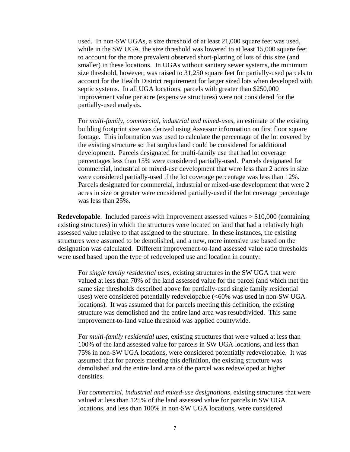used. In non-SW UGAs, a size threshold of at least 21,000 square feet was used, while in the SW UGA, the size threshold was lowered to at least 15,000 square feet to account for the more prevalent observed short-platting of lots of this size (and smaller) in these locations. In UGAs without sanitary sewer systems, the minimum size threshold, however, was raised to 31,250 square feet for partially-used parcels to account for the Health District requirement for larger sized lots when developed with septic systems. In all UGA locations, parcels with greater than \$250,000 improvement value per acre (expensive structures) were not considered for the partially-used analysis.

For *multi-family, commercial, industrial and mixed-uses*, an estimate of the existing building footprint size was derived using Assessor information on first floor square footage. This information was used to calculate the percentage of the lot covered by the existing structure so that surplus land could be considered for additional development. Parcels designated for multi-family use that had lot coverage percentages less than 15% were considered partially-used. Parcels designated for commercial, industrial or mixed-use development that were less than 2 acres in size were considered partially-used if the lot coverage percentage was less than 12%. Parcels designated for commercial, industrial or mixed-use development that were 2 acres in size or greater were considered partially-used if the lot coverage percentage was less than 25%.

**Redevelopable**. Included parcels with improvement assessed values  $> $10,000$  (containing existing structures) in which the structures were located on land that had a relatively high assessed value relative to that assigned to the structure. In these instances, the existing structures were assumed to be demolished, and a new, more intensive use based on the designation was calculated. Different improvement-to-land assessed value ratio thresholds were used based upon the type of redeveloped use and location in county:

For *single family residential uses*, existing structures in the SW UGA that were valued at less than 70% of the land assessed value for the parcel (and which met the same size thresholds described above for partially-used single family residential uses) were considered potentially redevelopable (<60% was used in non-SW UGA locations). It was assumed that for parcels meeting this definition, the existing structure was demolished and the entire land area was resubdivided. This same improvement-to-land value threshold was applied countywide.

For *multi-family residential uses*, existing structures that were valued at less than 100% of the land assessed value for parcels in SW UGA locations, and less than 75% in non-SW UGA locations, were considered potentially redevelopable. It was assumed that for parcels meeting this definition, the existing structure was demolished and the entire land area of the parcel was redeveloped at higher densities.

For *commercial, industrial and mixed-use designations*, existing structures that were valued at less than 125% of the land assessed value for parcels in SW UGA locations, and less than 100% in non-SW UGA locations, were considered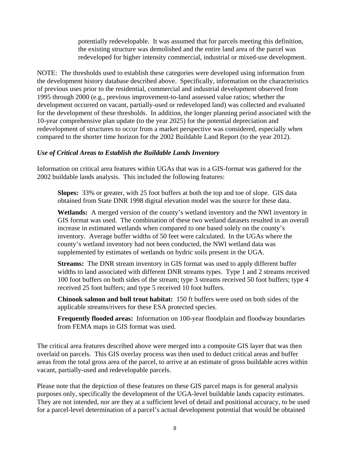potentially redevelopable. It was assumed that for parcels meeting this definition, the existing structure was demolished and the entire land area of the parcel was redeveloped for higher intensity commercial, industrial or mixed-use development.

NOTE: The thresholds used to establish these categories were developed using information from the development history database described above. Specifically, information on the characteristics of previous uses prior to the residential, commercial and industrial development observed from 1995 through 2000 (e.g., previous improvement-to-land assessed value ratios; whether the development occurred on vacant, partially-used or redeveloped land) was collected and evaluated for the development of these thresholds. In addition, the longer planning period associated with the 10-year comprehensive plan update (to the year 2025) for the potential depreciation and redevelopment of structures to occur from a market perspective was considered, especially when compared to the shorter time horizon for the 2002 Buildable Land Report (to the year 2012).

#### *Use of Critical Areas to Establish the Buildable Lands Inventory*

Information on critical area features within UGAs that was in a GIS-format was gathered for the 2002 buildable lands analysis. This included the following features:

**Slopes:** 33% or greater, with 25 foot buffers at both the top and toe of slope. GIS data obtained from State DNR 1998 digital elevation model was the source for these data.

**Wetlands:** A merged version of the county's wetland inventory and the NWI inventory in GIS format was used. The combination of these two wetland datasets resulted in an overall increase in estimated wetlands when compared to one based solely on the county's inventory. Average buffer widths of 50 feet were calculated. In the UGAs where the county's wetland inventory had not been conducted, the NWI wetland data was supplemented by estimates of wetlands on hydric soils present in the UGA.

**Streams:** The DNR stream inventory in GIS format was used to apply different buffer widths to land associated with different DNR streams types. Type 1 and 2 streams received 100 foot buffers on both sides of the stream; type 3 streams received 50 foot buffers; type 4 received 25 foot buffers; and type 5 received 10 foot buffers.

**Chinook salmon and bull trout habitat:** 150 ft buffers were used on both sides of the applicable streams/rivers for these ESA protected species.

**Frequently flooded areas:** Information on 100-year floodplain and floodway boundaries from FEMA maps in GIS format was used.

The critical area features described above were merged into a composite GIS layer that was then overlaid on parcels. This GIS overlay process was then used to deduct critical areas and buffer areas from the total gross area of the parcel, to arrive at an estimate of gross buildable acres within vacant, partially-used and redevelopable parcels.

Please note that the depiction of these features on these GIS parcel maps is for general analysis purposes only, specifically the development of the UGA-level buildable lands capacity estimates. They are not intended, nor are they at a sufficient level of detail and positional accuracy, to be used for a parcel-level determination of a parcel's actual development potential that would be obtained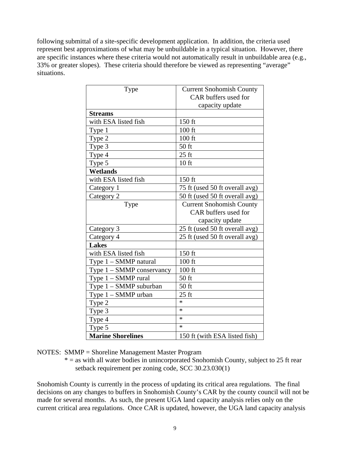following submittal of a site-specific development application. In addition, the criteria used represent best approximations of what may be unbuildable in a typical situation. However, there are specific instances where these criteria would not automatically result in unbuildable area (e.g., 33% or greater slopes). These criteria should therefore be viewed as representing "average" situations.

| Type                        | <b>Current Snohomish County</b> |
|-----------------------------|---------------------------------|
|                             | CAR buffers used for            |
|                             | capacity update                 |
| <b>Streams</b>              |                                 |
| with ESA listed fish        | 150 ft                          |
| Type 1                      | 100 ft                          |
| Type 2                      | 100 ft                          |
| Type 3                      | 50 ft                           |
| Type 4                      | $25$ ft                         |
| Type 5                      | 10 <sub>ft</sub>                |
| <b>Wetlands</b>             |                                 |
| with ESA listed fish        | 150 ft                          |
| Category 1                  | 75 ft (used 50 ft overall avg)  |
| Category 2                  | 50 ft (used 50 ft overall avg)  |
| Type                        | <b>Current Snohomish County</b> |
|                             | CAR buffers used for            |
|                             | capacity update                 |
| Category 3                  | 25 ft (used 50 ft overall avg)  |
| Category 4                  | 25 ft (used 50 ft overall avg)  |
| <b>Lakes</b>                |                                 |
| with ESA listed fish        | 150 ft                          |
| Type 1 - SMMP natural       | $100$ ft                        |
| Type $1 - SMMP$ conservancy | 100 ft                          |
| Type 1 - SMMP rural         | 50 ft                           |
| Type 1 - SMMP suburban      | $50$ ft                         |
| Type $1 - SMMP$ urban       | $25$ ft                         |
| Type 2                      | $\ast$                          |
| Type 3                      | $\ast$                          |
| Type 4                      | $\ast$                          |
| Type 5                      | $\ast$                          |
| <b>Marine Shorelines</b>    | 150 ft (with ESA listed fish)   |

NOTES: SMMP = Shoreline Management Master Program

 $* =$  as with all water bodies in unincorporated Snohomish County, subject to 25 ft rear setback requirement per zoning code, SCC 30.23.030(1)

Snohomish County is currently in the process of updating its critical area regulations. The final decisions on any changes to buffers in Snohomish County's CAR by the county council will not be made for several months. As such, the present UGA land capacity analysis relies only on the current critical area regulations. Once CAR is updated, however, the UGA land capacity analysis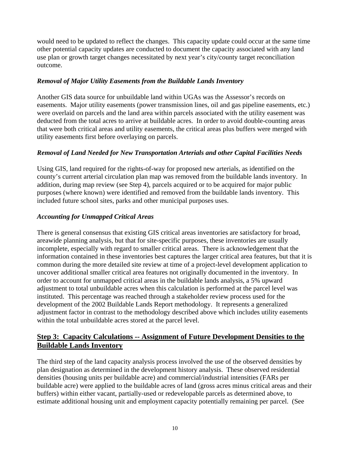would need to be updated to reflect the changes. This capacity update could occur at the same time other potential capacity updates are conducted to document the capacity associated with any land use plan or growth target changes necessitated by next year's city/county target reconciliation outcome.

#### *Removal of Major Utility Easements from the Buildable Lands Inventory*

Another GIS data source for unbuildable land within UGAs was the Assessor's records on easements. Major utility easements (power transmission lines, oil and gas pipeline easements, etc.) were overlaid on parcels and the land area within parcels associated with the utility easement was deducted from the total acres to arrive at buildable acres. In order to avoid double-counting areas that were both critical areas and utility easements, the critical areas plus buffers were merged with utility easements first before overlaying on parcels.

#### *Removal of Land Needed for New Transportation Arterials and other Capital Facilities Needs*

Using GIS, land required for the rights-of-way for proposed new arterials, as identified on the county's current arterial circulation plan map was removed from the buildable lands inventory. In addition, during map review (see Step 4), parcels acquired or to be acquired for major public purposes (where known) were identified and removed from the buildable lands inventory. This included future school sites, parks and other municipal purposes uses.

#### *Accounting for Unmapped Critical Areas*

There is general consensus that existing GIS critical areas inventories are satisfactory for broad, areawide planning analysis, but that for site-specific purposes, these inventories are usually incomplete, especially with regard to smaller critical areas. There is acknowledgement that the information contained in these inventories best captures the larger critical area features, but that it is common during the more detailed site review at time of a project-level development application to uncover additional smaller critical area features not originally documented in the inventory. In order to account for unmapped critical areas in the buildable lands analysis, a 5% upward adjustment to total unbuildable acres when this calculation is performed at the parcel level was instituted. This percentage was reached through a stakeholder review process used for the development of the 2002 Buildable Lands Report methodology. It represents a generalized adjustment factor in contrast to the methodology described above which includes utility easements within the total unbuildable acres stored at the parcel level.

#### **<u>Step 3: Capacity Calculations -- Assignment of Future Development Densities to the</u> Buildable Lands Inventory**

The third step of the land capacity analysis process involved the use of the observed densities by plan designation as determined in the development history analysis. These observed residential densities (housing units per buildable acre) and commercial/industrial intensities (FARs per buildable acre) were applied to the buildable acres of land (gross acres minus critical areas and their buffers) within either vacant, partially-used or redevelopable parcels as determined above, to estimate additional housing unit and employment capacity potentially remaining per parcel. (See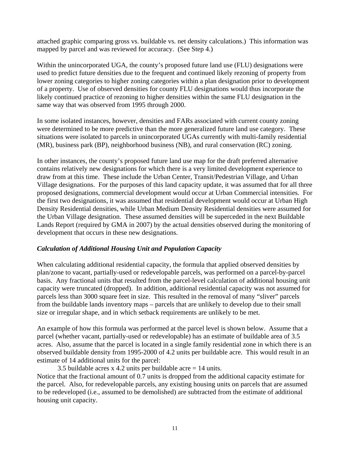attached graphic comparing gross vs. buildable vs. net density calculations.) This information was mapped by parcel and was reviewed for accuracy. (See Step 4.)

Within the unincorporated UGA, the county's proposed future land use (FLU) designations were used to predict future densities due to the frequent and continued likely rezoning of property from lower zoning categories to higher zoning categories within a plan designation prior to development of a property. Use of observed densities for county FLU designations would thus incorporate the likely continued practice of rezoning to higher densities within the same FLU designation in the same way that was observed from 1995 through 2000.

In some isolated instances, however, densities and FARs associated with current county zoning were determined to be more predictive than the more generalized future land use category. These situations were isolated to parcels in unincorporated UGAs currently with multi-family residential (MR), business park (BP), neighborhood business (NB), and rural conservation (RC) zoning.

In other instances, the county's proposed future land use map for the draft preferred alternative contains relatively new designations for which there is a very limited development experience to draw from at this time. These include the Urban Center, Transit/Pedestrian Village, and Urban Village designations. For the purposes of this land capacity update, it was assumed that for all three proposed designations, commercial development would occur at Urban Commercial intensities. For the first two designations, it was assumed that residential development would occur at Urban High Density Residential densities, while Urban Medium Density Residential densities were assumed for the Urban Village designation. These assumed densities will be superceded in the next Buildable Lands Report (required by GMA in 2007) by the actual densities observed during the monitoring of development that occurs in these new designations.

#### *Calculation of Additional Housing Unit and Population Capacity*

When calculating additional residential capacity, the formula that applied observed densities by plan/zone to vacant, partially-used or redevelopable parcels, was performed on a parcel-by-parcel basis. Any fractional units that resulted from the parcel-level calculation of additional housing unit capacity were truncated (dropped). In addition, additional residential capacity was not assumed for parcels less than 3000 square feet in size. This resulted in the removal of many "sliver" parcels from the buildable lands inventory maps – parcels that are unlikely to develop due to their small size or irregular shape, and in which setback requirements are unlikely to be met.

An example of how this formula was performed at the parcel level is shown below. Assume that a parcel (whether vacant, partially-used or redevelopable) has an estimate of buildable area of 3.5 acres. Also, assume that the parcel is located in a single family residential zone in which there is an observed buildable density from 1995-2000 of 4.2 units per buildable acre. This would result in an estimate of 14 additional units for the parcel:

3.5 buildable acres x 4.2 units per buildable acre  $= 14$  units. Notice that the fractional amount of 0.7 units is dropped from the additional capacity estimate for the parcel. Also, for redevelopable parcels, any existing housing units on parcels that are assumed to be redeveloped (i.e., assumed to be demolished) are subtracted from the estimate of additional housing unit capacity.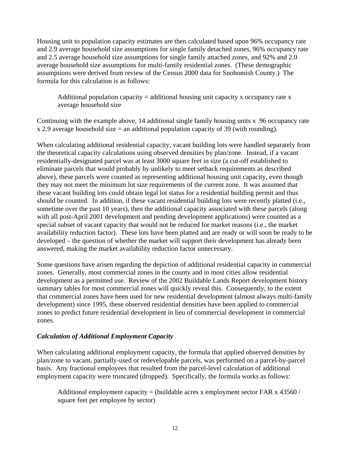Housing unit to population capacity estimates are then calculated based upon 96% occupancy rate and 2.9 average household size assumptions for single family detached zones, 96% occupancy rate and 2.5 average household size assumptions for single family attached zones, and 92% and 2.0 average household size assumptions for multi-family residential zones. (These demographic assumptions were derived from review of the Census 2000 data for Snohomish County.) The formula for this calculation is as follows:

Additional population capacity  $=$  additional housing unit capacity x occupancy rate x average household size

Continuing with the example above, 14 additional single family housing units x .96 occupancy rate  $x$  2.9 average household size = an additional population capacity of 39 (with rounding).

When calculating additional residential capacity, vacant building lots were handled separately from the theoretical capacity calculations using observed densities by plan/zone. Instead, if a vacant residentially-designated parcel was at least 3000 square feet in size (a cut-off established to eliminate parcels that would probably by unlikely to meet setback requirements as described above), these parcels were counted as representing additional housing unit capacity, even though they may not meet the minimum lot size requirements of the current zone. It was assumed that these vacant building lots could obtain legal lot status for a residential building permit and thus should be counted. In addition, if these vacant residential building lots were recently platted (i.e., sometime over the past 10 years), then the additional capacity associated with these parcels (along with all post-April 2001 development and pending development applications) were counted as a special subset of vacant capacity that would not be reduced for market reasons (i.e., the market availability reduction factor). These lots have been platted and are ready or will soon be ready to be developed – the question of whether the market will support their development has already been answered, making the market availability reduction factor unnecessary.

Some questions have arisen regarding the depiction of additional residential capacity in commercial zones. Generally, most commercial zones in the county and in most cities allow residential development as a permitted use. Review of the 2002 Buildable Lands Report development history summary tables for most commercial zones will quickly reveal this. Consequently, to the extent that commercial zones have been used for new residential development (almost always multi-family development) since 1995, these observed residential densities have been applied to commercial zones to predict future residential development in lieu of commercial development in commercial zones.

#### *Calculation of Additional Employment Capacity*

When calculating additional employment capacity, the formula that applied observed densities by plan/zone to vacant, partially-used or redevelopable parcels, was performed on a parcel-by-parcel basis. Any fractional employees that resulted from the parcel-level calculation of additional employment capacity were truncated (dropped). Specifically, the formula works as follows:

Additional employment capacity = (buildable acres x employment sector FAR x  $43560/$ ) square feet per employee by sector)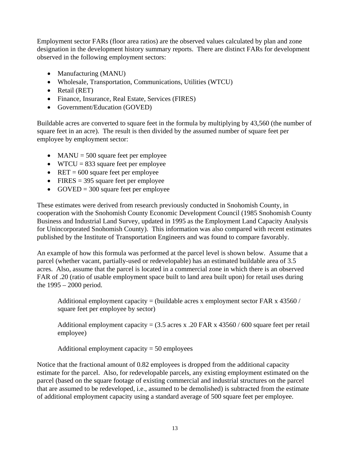Employment sector FARs (floor area ratios) are the observed values calculated by plan and zone designation in the development history summary reports. There are distinct FARs for development observed in the following employment sectors:

- Manufacturing (MANU)
- Wholesale, Transportation, Communications, Utilities (WTCU)
- Retail (RET)
- Finance, Insurance, Real Estate, Services (FIRES)
- Government/Education (GOVED)

Buildable acres are converted to square feet in the formula by multiplying by 43,560 (the number of square feet in an acre). The result is then divided by the assumed number of square feet per employee by employment sector:

- MANU =  $500$  square feet per employee
- WTCU =  $833$  square feet per employee
- RET =  $600$  square feet per employee
- FIRES  $=$  395 square feet per employee
- GOVED = 300 square feet per employee

These estimates were derived from research previously conducted in Snohomish County, in cooperation with the Snohomish County Economic Development Council (1985 Snohomish County Business and Industrial Land Survey, updated in 1995 as the Employment Land Capacity Analysis for Unincorporated Snohomish County). This information was also compared with recent estimates published by the Institute of Transportation Engineers and was found to compare favorably.

An example of how this formula was performed at the parcel level is shown below. Assume that a parcel (whether vacant, partially-used or redevelopable) has an estimated buildable area of 3.5 acres. Also, assume that the parcel is located in a commercial zone in which there is an observed FAR of .20 (ratio of usable employment space built to land area built upon) for retail uses during the 1995 – 2000 period.

Additional employment capacity = (buildable acres x employment sector FAR x  $43560/$ ) square feet per employee by sector)

Additional employment capacity =  $(3.5 \text{ acres x} \cdot .20 \text{ FAR x } 43560 / 600 \text{ square feet per retail})$ employee)

Additional employment capacity = 50 employees

Notice that the fractional amount of 0.82 employees is dropped from the additional capacity estimate for the parcel. Also, for redevelopable parcels, any existing employment estimated on the parcel (based on the square footage of existing commercial and industrial structures on the parcel that are assumed to be redeveloped, i.e., assumed to be demolished) is subtracted from the estimate of additional employment capacity using a standard average of 500 square feet per employee.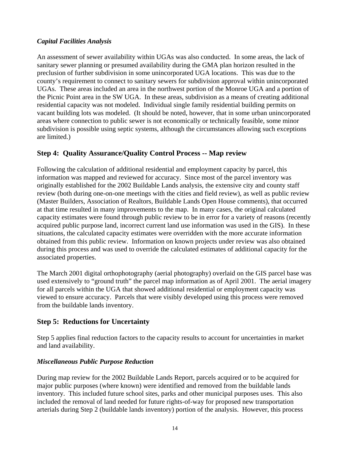#### *Capital Facilities Analysis*

An assessment of sewer availability within UGAs was also conducted. In some areas, the lack of sanitary sewer planning or presumed availability during the GMA plan horizon resulted in the preclusion of further subdivision in some unincorporated UGA locations. This was due to the county's requirement to connect to sanitary sewers for subdivision approval within unincorporated UGAs. These areas included an area in the northwest portion of the Monroe UGA and a portion of the Picnic Point area in the SW UGA. In these areas, subdivision as a means of creating additional residential capacity was not modeled. Individual single family residential building permits on vacant building lots was modeled. (It should be noted, however, that in some urban unincorporated areas where connection to public sewer is not economically or technically feasible, some minor subdivision is possible using septic systems, although the circumstances allowing such exceptions are limited.)

# **Step 4: Quality Assurance/Quality Control Process -- Map review**

Following the calculation of additional residential and employment capacity by parcel, this information was mapped and reviewed for accuracy. Since most of the parcel inventory was originally established for the 2002 Buildable Lands analysis, the extensive city and county staff review (both during one-on-one meetings with the cities and field review), as well as public review (Master Builders, Association of Realtors, Buildable Lands Open House comments), that occurred at that time resulted in many improvements to the map. In many cases, the original calculated capacity estimates were found through public review to be in error for a variety of reasons (recently acquired public purpose land, incorrect current land use information was used in the GIS). In these situations, the calculated capacity estimates were overridden with the more accurate information obtained from this public review. Information on known projects under review was also obtained during this process and was used to override the calculated estimates of additional capacity for the associated properties.

The March 2001 digital orthophotography (aerial photography) overlaid on the GIS parcel base was used extensively to "ground truth" the parcel map information as of April 2001. The aerial imagery for all parcels within the UGA that showed additional residential or employment capacity was viewed to ensure accuracy. Parcels that were visibly developed using this process were removed from the buildable lands inventory.

#### **Step 5: Reductions for Uncertainty**

Step 5 applies final reduction factors to the capacity results to account for uncertainties in market and land availability.

#### *Miscellaneous Public Purpose Reduction*

During map review for the 2002 Buildable Lands Report, parcels acquired or to be acquired for major public purposes (where known) were identified and removed from the buildable lands inventory. This included future school sites, parks and other municipal purposes uses. This also included the removal of land needed for future rights-of-way for proposed new transportation arterials during Step 2 (buildable lands inventory) portion of the analysis. However, this process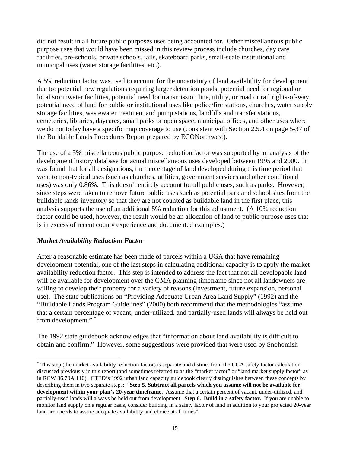did not result in all future public purposes uses being accounted for. Other miscellaneous public purpose uses that would have been missed in this review process include churches, day care facilities, pre-schools, private schools, jails, skateboard parks, small-scale institutional and municipal uses (water storage facilities, etc.).

A 5% reduction factor was used to account for the uncertainty of land availability for development due to: potential new regulations requiring larger detention ponds, potential need for regional or local stormwater facilities, potential need for transmission line, utility, or road or rail rights-of-way, potential need of land for public or institutional uses like police/fire stations, churches, water supply storage facilities, wastewater treatment and pump stations, landfills and transfer stations, cemeteries, libraries, daycares, small parks or open space, municipal offices, and other uses where we do not today have a specific map coverage to use (consistent with Section 2.5.4 on page 5-37 of the Buildable Lands Procedures Report prepared by ECONorthwest).

The use of a 5% miscellaneous public purpose reduction factor was supported by an analysis of the development history database for actual miscellaneous uses developed between 1995 and 2000. It was found that for all designations, the percentage of land developed during this time period that went to non-typical uses (such as churches, utilities, government services and other conditional uses) was only 0.86%. This doesn't entirely account for all public uses, such as parks. However, since steps were taken to remove future public uses such as potential park and school sites from the buildable lands inventory so that they are not counted as buildable land in the first place, this analysis supports the use of an additional 5% reduction for this adjustment. (A 10% reduction factor could be used, however, the result would be an allocation of land to public purpose uses that is in excess of recent county experience and documented examples.)

#### *Market Availability Reduction Factor*

After a reasonable estimate has been made of parcels within a UGA that have remaining development potential, one of the last steps in calculating additional capacity is to apply the market availability reduction factor. This step is intended to address the fact that not all developable land will be available for development over the GMA planning timeframe since not all landowners are willing to develop their property for a variety of reasons (investment, future expansion, personal use). The state publications on "Providing Adequate Urban Area Land Supply" (1992) and the "Buildable Lands Program Guidelines" (2000) both recommend that the methodologies "assume that a certain percentage of vacant, under-utilized, and partially-used lands will always be held out from development." [\\*](#page-15-0)

The 1992 state guidebook acknowledges that "information about land availability is difficult to obtain and confirm." However, some suggestions were provided that were used by Snohomish

<span id="page-15-0"></span> <sup>\*</sup> This step (the market availability reduction factor) is separate and distinct from the UGA safety factor calculation discussed previously in this report (and sometimes referred to as the "market factor" or "land market supply factor" as in RCW 36.70A.110). CTED's 1992 urban land capacity guidebook clearly distinguishes between these concepts by describing them in two separate steps: "**Step 5. Subtract all parcels which you assume will not be available for development within your plan's 20-year timeframe.** Assume that a certain percent of vacant, under-utilized, and partially-used lands will always be held out from development. **Step 6. Build in a safety factor.** If you are unable to monitor land supply on a regular basis, consider building in a safety factor of land in addition to your projected 20-year land area needs to assure adequate availability and choice at all times".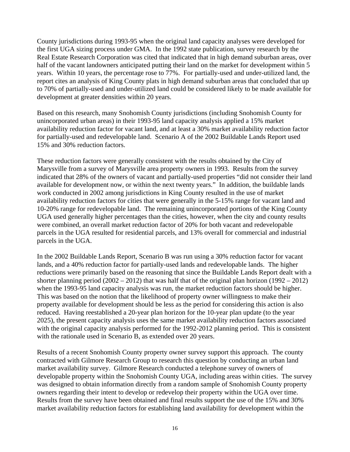County jurisdictions during 1993-95 when the original land capacity analyses were developed for the first UGA sizing process under GMA. In the 1992 state publication, survey research by the Real Estate Research Corporation was cited that indicated that in high demand suburban areas, over half of the vacant landowners anticipated putting their land on the market for development within 5 years. Within 10 years, the percentage rose to 77%. For partially-used and under-utilized land, the report cites an analysis of King County plats in high demand suburban areas that concluded that up to 70% of partially-used and under-utilized land could be considered likely to be made available for development at greater densities within 20 years.

Based on this research, many Snohomish County jurisdictions (including Snohomish County for unincorporated urban areas) in their 1993-95 land capacity analysis applied a 15% market availability reduction factor for vacant land, and at least a 30% market availability reduction factor for partially-used and redevelopable land. Scenario A of the 2002 Buildable Lands Report used 15% and 30% reduction factors.

These reduction factors were generally consistent with the results obtained by the City of Marysville from a survey of Marysville area property owners in 1993. Results from the survey indicated that 28% of the owners of vacant and partially-used properties "did not consider their land available for development now, or within the next twenty years." In addition, the buildable lands work conducted in 2002 among jurisdictions in King County resulted in the use of market availability reduction factors for cities that were generally in the 5-15% range for vacant land and 10-20% range for redevelopable land. The remaining unincorporated portions of the King County UGA used generally higher percentages than the cities, however, when the city and county results were combined, an overall market reduction factor of 20% for both vacant and redevelopable parcels in the UGA resulted for residential parcels, and 13% overall for commercial and industrial parcels in the UGA.

In the 2002 Buildable Lands Report, Scenario B was run using a 30% reduction factor for vacant lands, and a 40% reduction factor for partially-used lands and redevelopable lands. The higher reductions were primarily based on the reasoning that since the Buildable Lands Report dealt with a shorter planning period  $(2002 – 2012)$  that was half that of the original plan horizon  $(1992 – 2012)$ when the 1993-95 land capacity analysis was run, the market reduction factors should be higher. This was based on the notion that the likelihood of property owner willingness to make their property available for development should be less as the period for considering this action is also reduced. Having reestablished a 20-year plan horizon for the 10-year plan update (to the year 2025), the present capacity analysis uses the same market availability reduction factors associated with the original capacity analysis performed for the 1992-2012 planning period. This is consistent with the rationale used in Scenario B, as extended over 20 years.

Results of a recent Snohomish County property owner survey support this approach. The county contracted with Gilmore Research Group to research this question by conducting an urban land market availability survey. Gilmore Research conducted a telephone survey of owners of developable property within the Snohomish County UGA, including areas within cities. The survey was designed to obtain information directly from a random sample of Snohomish County property owners regarding their intent to develop or redevelop their property within the UGA over time. Results from the survey have been obtained and final results support the use of the 15% and 30% market availability reduction factors for establishing land availability for development within the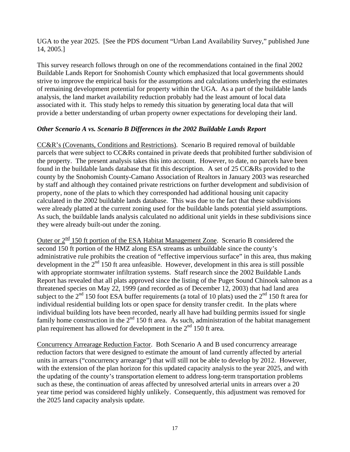UGA to the year 2025. [See the PDS document "Urban Land Availability Survey," published June 14, 2005.]

This survey research follows through on one of the recommendations contained in the final 2002 Buildable Lands Report for Snohomish County which emphasized that local governments should strive to improve the empirical basis for the assumptions and calculations underlying the estimates of remaining development potential for property within the UGA. As a part of the buildable lands analysis, the land market availability reduction probably had the least amount of local data associated with it. This study helps to remedy this situation by generating local data that will provide a better understanding of urban property owner expectations for developing their land.

#### *Other Scenario A vs. Scenario B Differences in the 2002 Buildable Lands Report*

CC&R's (Covenants, Conditions and Restrictions). Scenario B required removal of buildable parcels that were subject to CC&Rs contained in private deeds that prohibited further subdivision of the property. The present analysis takes this into account. However, to date, no parcels have been found in the buildable lands database that fit this description. A set of 25 CC&Rs provided to the county by the Snohomish County-Camano Association of Realtors in January 2003 was researched by staff and although they contained private restrictions on further development and subdivision of property, none of the plats to which they corresponded had additional housing unit capacity calculated in the 2002 buildable lands database. This was due to the fact that these subdivisions were already platted at the current zoning used for the buildable lands potential yield assumptions. As such, the buildable lands analysis calculated no additional unit yields in these subdivisions since they were already built-out under the zoning.

Outer or  $2^{\frac{nd}{n}}$  150 ft portion of the ESA Habitat Management Zone. Scenario B considered the second 150 ft portion of the HMZ along ESA streams as unbuildable since the county's administrative rule prohibits the creation of "effective impervious surface" in this area, thus making development in the  $2<sup>nd</sup>$  150 ft area unfeasible. However, development in this area is still possible with appropriate stormwater infiltration systems. Staff research since the 2002 Buildable Lands Report has revealed that all plats approved since the listing of the Puget Sound Chinook salmon as a threatened species on May 22, 1999 (and recorded as of December 12, 2003) that had land area subject to the  $2<sup>nd</sup> 150$  foot ESA buffer requirements (a total of 10 plats) used the  $2<sup>nd</sup> 150$  ft area for individual residential building lots or open space for density transfer credit. In the plats where individual building lots have been recorded, nearly all have had building permits issued for single family home construction in the  $2<sup>nd</sup> 150$  ft area. As such, administration of the habitat management plan requirement has allowed for development in the  $2<sup>nd</sup> 150$  ft area.

Concurrency Arrearage Reduction Factor. Both Scenario A and B used concurrency arrearage reduction factors that were designed to estimate the amount of land currently affected by arterial units in arrears ("concurrency arrearage") that will still not be able to develop by 2012. However, with the extension of the plan horizon for this updated capacity analysis to the year 2025, and with the updating of the county's transportation element to address long-term transportation problems such as these, the continuation of areas affected by unresolved arterial units in arrears over a 20 year time period was considered highly unlikely. Consequently, this adjustment was removed for the 2025 land capacity analysis update.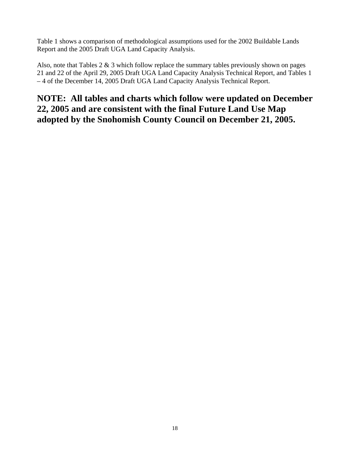Table 1 shows a comparison of methodological assumptions used for the 2002 Buildable Lands Report and the 2005 Draft UGA Land Capacity Analysis.

Also, note that Tables  $2 \& 3$  which follow replace the summary tables previously shown on pages 21 and 22 of the April 29, 2005 Draft UGA Land Capacity Analysis Technical Report, and Tables 1 – 4 of the December 14, 2005 Draft UGA Land Capacity Analysis Technical Report.

# **NOTE: All tables and charts which follow were updated on December 22, 2005 and are consistent with the final Future Land Use Map adopted by the Snohomish County Council on December 21, 2005.**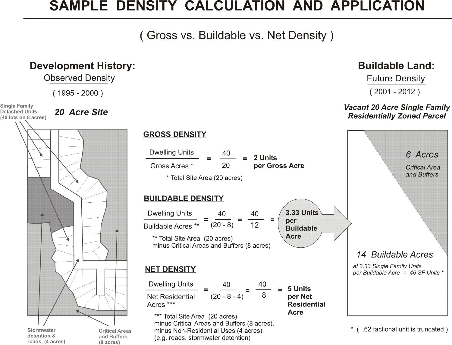# SAMPLE DENSITY CALCULATION AND APPLICATION

(Gross vs. Buildable vs. Net Density)